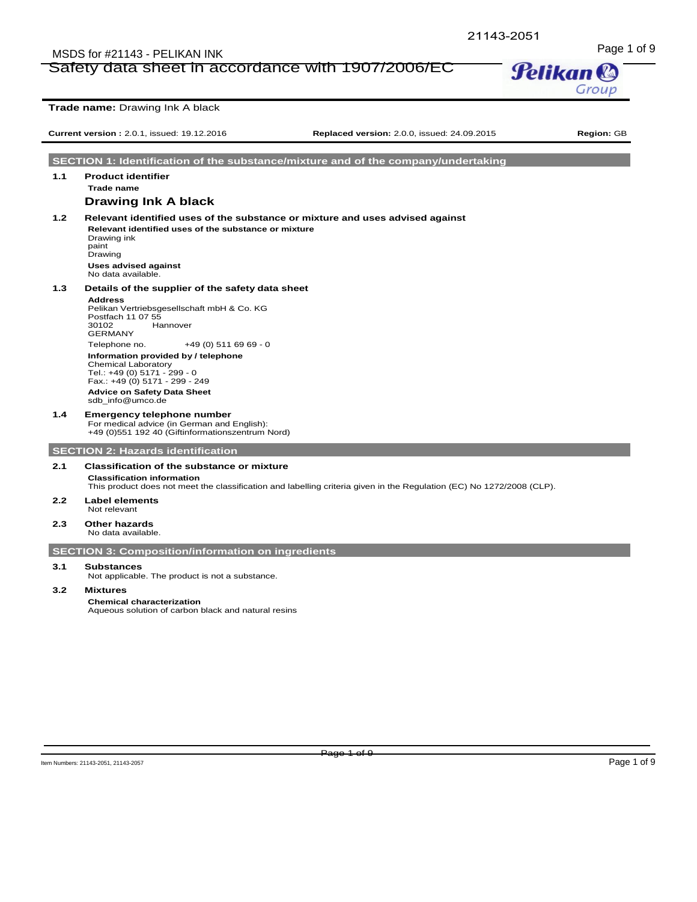# Page 1 of 9<br>Safety data sheet in accordance with 1907/2006/EC **Pelikan &** Safety data sheet in accordance with 1907/2006/EC



**Trade name:** Drawing Ink A black

**Current version :** 2.0.1, issued: 19.12.2016 **Replaced version:** 2.0.0, issued: 24.09.2015 **Region:** GB

**SECTION 1: Identification of the substance/mixture and of the company/undertaking**

# **Trade name Drawing Ink A black**

**1.2 Relevant identified uses of the substance or mixture and uses advised against Relevant identified uses of the substance or mixture** Drawing ink paint **Drawing** 

**Uses advised against** No data available.

# **1.3 Details of the supplier of the safety data sheet**

# **Address**

**1.1 Product identifier**

Pelikan Vertriebsgesellschaft mbH & Co. KG Postfach 11 07 55<br>30102 Ha Hannover GERMANY Telephone no. +49 (0) 511 69 69 - 0 **Information provided by / telephone** Chemical Laboratory Tel.: +49 (0) 5171 - 299 - 0 Fax.: +49 (0) 5171 - 299 - 249 **Advice on Safety Data Sheet** sdb\_info@umco.de

**1.4 Emergency telephone number** For medical advice (in German and English): +49 (0)551 192 40 (Giftinformationszentrum Nord)

**SECTION 2: Hazards identification**

# **2.1 Classification of the substance or mixture**

**Classification information** This product does not meet the classification and labelling criteria given in the Regulation (EC) No 1272/2008 (CLP).

- **2.2 Label elements** Not relevant
- **2.3 Other hazards**
- No data available.

# **SECTION 3: Composition/information on ingredients**

# **3.1 Substances**

Not applicable. The product is not a substance.

#### **3.2 Mixtures**

# **Chemical characterization**

Aqueous solution of carbon black and natural resins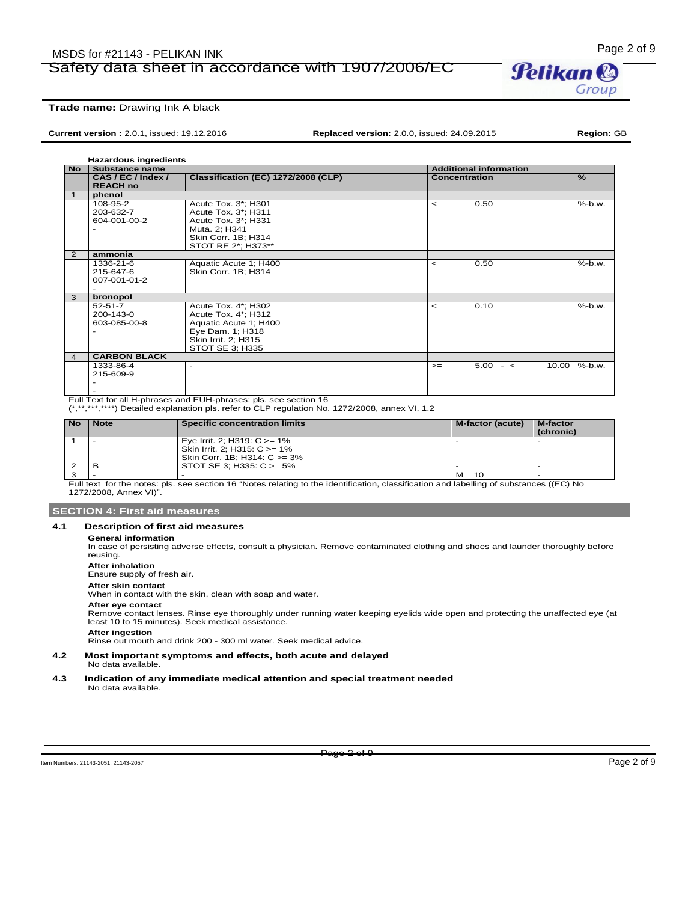# Page 2 of 9<br>Safety data sheet in accordance with 1907/2006/EC **Pelikan &** Safety data sheet in accordance with 1907/2006/EC



**Current version :** 2.0.1, issued: 19.12.2016 **Replaced version:** 2.0.0, issued: 24.09.2015 **Region:** GB

**Hazardous ingredients**

| <b>No</b>      | <b>Substance name</b> |                                     | <b>Additional information</b> |                     |               |
|----------------|-----------------------|-------------------------------------|-------------------------------|---------------------|---------------|
|                | CAS / EC / Index /    | Classification (EC) 1272/2008 (CLP) | <b>Concentration</b>          |                     | $\frac{9}{6}$ |
|                | <b>REACH no</b>       |                                     |                               |                     |               |
| $\mathbf{1}$   | phenol                |                                     |                               |                     |               |
|                | 108-95-2              | Acute Tox. 3*; H301                 | $\overline{a}$                | 0.50                | %-b.w.        |
|                | 203-632-7             | Acute Tox. 3*; H311                 |                               |                     |               |
|                | 604-001-00-2          | Acute Tox. 3*; H331                 |                               |                     |               |
|                |                       | Muta. 2; H341                       |                               |                     |               |
|                |                       | Skin Corr. 1B; H314                 |                               |                     |               |
|                |                       | STOT RE 2*; H373**                  |                               |                     |               |
| $\overline{2}$ | ammonia               |                                     |                               |                     |               |
|                | 1336-21-6             | Aquatic Acute 1; H400               | $\prec$                       | 0.50                | $%$ -b.w.     |
|                | 215-647-6             | Skin Corr. 1B; H314                 |                               |                     |               |
|                | 007-001-01-2          |                                     |                               |                     |               |
|                |                       |                                     |                               |                     |               |
| 3              | bronopol              |                                     |                               |                     |               |
|                | $52 - 51 - 7$         | Acute Tox. 4*; H302                 | $\,<\,$                       | 0.10                | $%$ -b.w.     |
|                | 200-143-0             | Acute Tox. 4*; H312                 |                               |                     |               |
|                | 603-085-00-8          | Aquatic Acute 1; H400               |                               |                     |               |
|                |                       | Eye Dam. 1; H318                    |                               |                     |               |
|                |                       | Skin Irrit. 2; H315                 |                               |                     |               |
|                |                       | STOT SE 3; H335                     |                               |                     |               |
| 4              | <b>CARBON BLACK</b>   |                                     |                               |                     |               |
|                | 1333-86-4             | ٠                                   | $>=$                          | $5.00 - c$<br>10.00 | $%$ -b.w.     |
|                | 215-609-9             |                                     |                               |                     |               |
|                |                       |                                     |                               |                     |               |
|                |                       |                                     |                               |                     |               |

- Full Text for all H-phrases and EUH-phrases: pls. see section 16

(\*,\*\*,\*\*\*,\*\*\*\*) Detailed explanation pls. refer to CLP regulation No. 1272/2008, annex VI, 1.2

| <b>No</b> | <b>Note</b> | <b>Specific concentration limits</b>                                                            | M-factor (acute) | M-factor<br>(chronic) |
|-----------|-------------|-------------------------------------------------------------------------------------------------|------------------|-----------------------|
|           |             | Eye Irrit. 2; H319: $C \ge 1\%$<br>Skin Irrit. 2: H315: C >= 1%<br>Skin Corr. 1B; H314: C >= 3% |                  |                       |
|           |             | STOT SE 3; H335: $C \ge 5\%$                                                                    |                  |                       |
|           |             |                                                                                                 | $M = 10$         |                       |

Full text for the notes: pls. see section 16 "Notes relating to the identification, classification and labelling of substances ((EC) No 1272/2008, Annex VI)".

#### **SECTION 4: First aid measures**

### **4.1 Description of first aid measures**

#### **General information**

In case of persisting adverse effects, consult a physician. Remove contaminated clothing and shoes and launder thoroughly before reusing.

**After inhalation**

Ensure supply of fresh air.

#### **After skin contact**

When in contact with the skin, clean with soap and water.

#### **After eye contact**

Remove contact lenses. Rinse eye thoroughly under running water keeping eyelids wide open and protecting the unaffected eye (at least 10 to 15 minutes). Seek medical assistance.

**After ingestion** Rinse out mouth and drink 200 - 300 ml water. Seek medical advice.

**4.2 Most important symptoms and effects, both acute and delayed**

No data available.

#### **4.3 Indication of any immediate medical attention and special treatment needed** No data available.

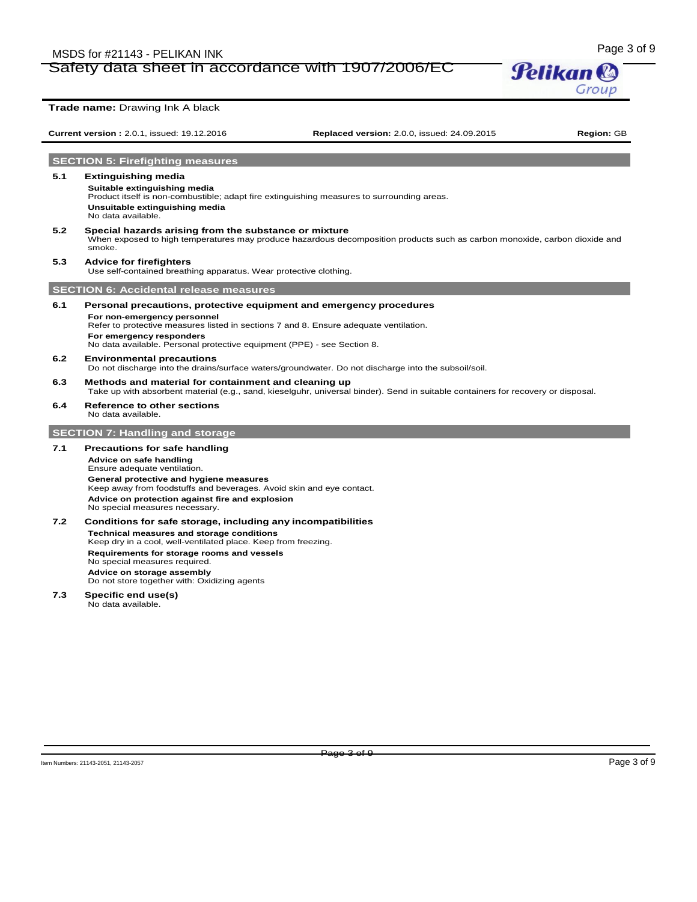# Page 3 of 9 MSDS for #21143 - PELIKAN INK Safety data sheet in accordance with 1907/2006/EC



# **Current version :** 2.0.1, issued: 19.12.2016 **Replaced version:** 2.0.0, issued: 24.09.2015 **Region:** GB **SECTION 5: Firefighting measures 5.1 Extinguishing media Suitable extinguishing media** Product itself is non-combustible; adapt fire extinguishing measures to surrounding areas. **Unsuitable extinguishing media** No data available. **5.2 Special hazards arising from the substance or mixture** When exposed to high temperatures may produce hazardous decomposition products such as carbon monoxide, carbon dioxide and smoke. **5.3 Advice for firefighters** Use self-contained breathing apparatus. Wear protective clothing. **SECTION 6: Accidental release measures 6.1 Personal precautions, protective equipment and emergency procedures For non-emergency personnel** Refer to protective measures listed in sections 7 and 8. Ensure adequate ventilation. **For emergency responders** No data available. Personal protective equipment (PPE) - see Section 8. **6.2 Environmental precautions** Do not discharge into the drains/surface waters/groundwater. Do not discharge into the subsoil/soil. **6.3 Methods and material for containment and cleaning up** Take up with absorbent material (e.g., sand, kieselguhr, universal binder). Send in suitable containers for recovery or disposal. **6.4 Reference to other sections** No data available. **SECTION 7: Handling and storage 7.1 Precautions for safe handling Advice on safe handling** Ensure adequate ventilation. **General protective and hygiene measures** Keep away from foodstuffs and beverages. Avoid skin and eye contact. **Advice on protection against fire and explosion** No special measures necessary. **7.2 Conditions for safe storage, including any incompatibilities Technical measures and storage conditions** Keep dry in a cool, well-ventilated place. Keep from freezing. **Requirements for storage rooms and vessels** No special measures required. **Advice on storage assembly**

Do not store together with: Oxidizing agents

### **7.3 Specific end use(s)**

No data available.

**Trade name:** Drawing Ink A black

Page 3 of 9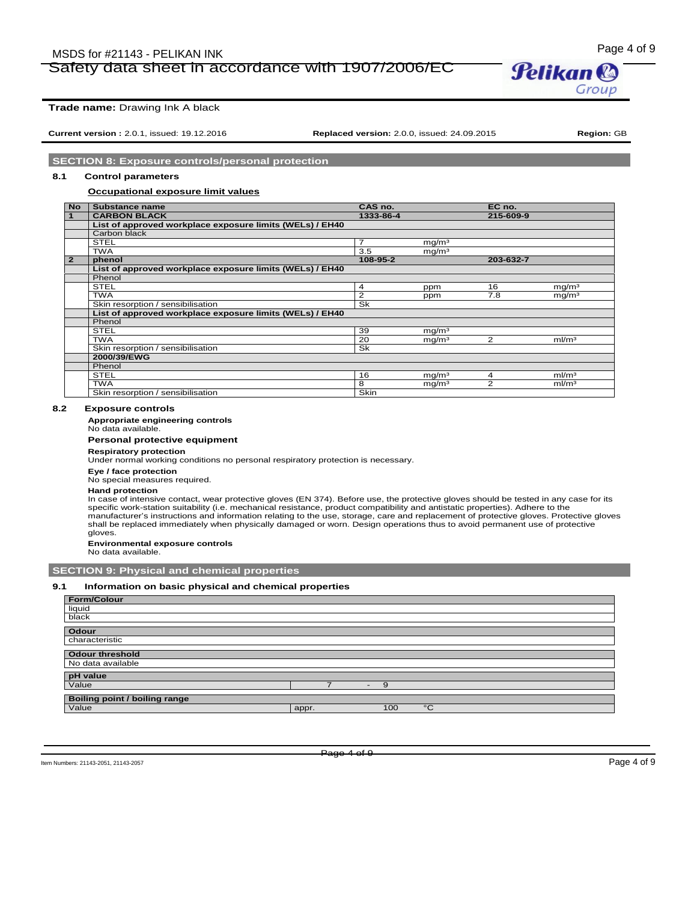# Page 4 of 9 MSDS for #21143 - PELIKAN INK Safety data sheet in accordance with 1907/2006/EC



**Trade name:** Drawing Ink A black

**Current version :** 2.0.1, issued: 19.12.2016 **Replaced version:** 2.0.0, issued: 24.09.2015 **Region:** GB

Group

### **SECTION 8: Exposure controls/personal protection**

# **8.1 Control parameters**

#### **Occupational exposure limit values**

| <b>No</b>      | Substance name                                           | CAS no.   |                   | EC no.    |                   |
|----------------|----------------------------------------------------------|-----------|-------------------|-----------|-------------------|
| $\mathbf{1}$   | <b>CARBON BLACK</b>                                      | 1333-86-4 |                   | 215-609-9 |                   |
|                | List of approved workplace exposure limits (WELs) / EH40 |           |                   |           |                   |
|                | Carbon black                                             |           |                   |           |                   |
|                | <b>STEL</b>                                              | 7         | mq/m <sup>3</sup> |           |                   |
|                | <b>TWA</b>                                               | 3.5       | mq/m <sup>3</sup> |           |                   |
| $\overline{2}$ | phenol                                                   | 108-95-2  |                   | 203-632-7 |                   |
|                | List of approved workplace exposure limits (WELs) / EH40 |           |                   |           |                   |
|                | Phenol                                                   |           |                   |           |                   |
|                | <b>STEL</b>                                              | 4         | ppm               | 16        | mg/m <sup>3</sup> |
|                | <b>TWA</b>                                               | 2         | ppm               | 7.8       | mg/m <sup>3</sup> |
|                | Skin resorption / sensibilisation                        | Sk        |                   |           |                   |
|                | List of approved workplace exposure limits (WELs) / EH40 |           |                   |           |                   |
|                | Phenol                                                   |           |                   |           |                   |
|                | <b>STEL</b>                                              | 39        | mq/m <sup>3</sup> |           |                   |
|                | <b>TWA</b>                                               | 20        | mg/m <sup>3</sup> | 2         | ml/m <sup>3</sup> |
|                | Skin resorption / sensibilisation                        | Sk        |                   |           |                   |
|                | 2000/39/EWG                                              |           |                   |           |                   |
|                | Phenol                                                   |           |                   |           |                   |
|                | <b>STEL</b>                                              | 16        | mg/m <sup>3</sup> | 4         | ml/m <sup>3</sup> |
|                | <b>TWA</b>                                               | 8         | mg/m <sup>3</sup> | 2         | ml/m <sup>3</sup> |
|                | Skin resorption / sensibilisation                        | Skin      |                   |           |                   |

#### **8.2 Exposure controls**

#### **Appropriate engineering controls**

No data available.

# **Personal protective equipment**

**Respiratory protection** Under normal working conditions no personal respiratory protection is necessary.

**Eye / face protection**

No special measures required.

#### **Hand protection**

In case of intensive contact, wear protective gloves (EN 374). Before use, the protective gloves should be tested in any case for its specific work-station suitability (i.e. mechanical resistance, product compatibility and antistatic properties). Adhere to the manufacturer's instructions and information relating to the use, storage, care and replacement of protective gloves. Protective gloves shall be replaced immediately when physically damaged or worn. Design operations thus to avoid permanent use of protective gloves.

**Environmental exposure controls**

No data available.

### **SECTION 9: Physical and chemical properties**

#### **9.1 Information on basic physical and chemical properties**

| Form/Colour                          |       |   |     |              |
|--------------------------------------|-------|---|-----|--------------|
| liquid                               |       |   |     |              |
| black                                |       |   |     |              |
|                                      |       |   |     |              |
| Odour                                |       |   |     |              |
| characteristic                       |       |   |     |              |
|                                      |       |   |     |              |
| <b>Odour threshold</b>               |       |   |     |              |
| No data available                    |       |   |     |              |
|                                      |       |   |     |              |
| pH value                             |       |   |     |              |
| Value                                |       | . | 9   |              |
|                                      |       |   |     |              |
| <b>Boiling point / boiling range</b> |       |   |     |              |
| Value                                | appr. |   | 100 | $^{\circ}$ C |
|                                      |       |   |     |              |

Item Numbers: 21143-2051, 21143-2057 Page 4 of 9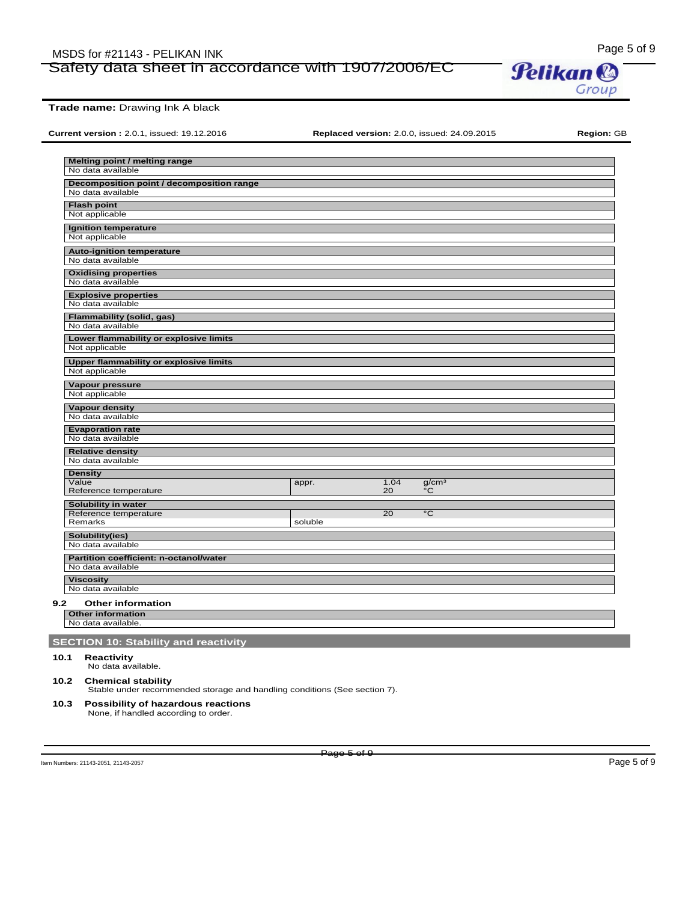# Page 5 of 9<br>Safety data sheet in accordance with 1907/2006/EC **Pelikan &** Safety data sheet in accordance with 1907/2006/EC



**Trade name:** Drawing Ink A black

**Current version :** 2.0.1, issued: 19.12.2016 **Replaced version:** 2.0.0, issued: 24.09.2015 **Region:** GB

| Melting point / melting range                         |         |      |                   |  |
|-------------------------------------------------------|---------|------|-------------------|--|
| No data available                                     |         |      |                   |  |
| Decomposition point / decomposition range             |         |      |                   |  |
| No data available                                     |         |      |                   |  |
| <b>Flash point</b>                                    |         |      |                   |  |
| Not applicable                                        |         |      |                   |  |
| Ignition temperature                                  |         |      |                   |  |
| Not applicable                                        |         |      |                   |  |
| <b>Auto-ignition temperature</b><br>No data available |         |      |                   |  |
|                                                       |         |      |                   |  |
| <b>Oxidising properties</b><br>No data available      |         |      |                   |  |
| <b>Explosive properties</b>                           |         |      |                   |  |
| No data available                                     |         |      |                   |  |
| Flammability (solid, gas)                             |         |      |                   |  |
| No data available                                     |         |      |                   |  |
| Lower flammability or explosive limits                |         |      |                   |  |
| Not applicable                                        |         |      |                   |  |
| <b>Upper flammability or explosive limits</b>         |         |      |                   |  |
| Not applicable                                        |         |      |                   |  |
| Vapour pressure                                       |         |      |                   |  |
| Not applicable                                        |         |      |                   |  |
| <b>Vapour density</b>                                 |         |      |                   |  |
| No data available                                     |         |      |                   |  |
| <b>Evaporation rate</b><br>No data available          |         |      |                   |  |
| <b>Relative density</b>                               |         |      |                   |  |
| No data available                                     |         |      |                   |  |
| <b>Density</b>                                        |         |      |                   |  |
| Value                                                 | appr.   | 1.04 | g/cm <sup>3</sup> |  |
| Reference temperature                                 |         | 20   | °C                |  |
| Solubility in water                                   |         |      |                   |  |
| Reference temperature<br>Remarks                      | soluble | 20   | $^{\circ}$ C      |  |
| Solubility(ies)                                       |         |      |                   |  |
| No data available                                     |         |      |                   |  |
| Partition coefficient: n-octanol/water                |         |      |                   |  |
| No data available                                     |         |      |                   |  |
| <b>Viscosity</b>                                      |         |      |                   |  |
| No data available                                     |         |      |                   |  |
| 9.2<br><b>Other information</b>                       |         |      |                   |  |
| <b>Other information</b>                              |         |      |                   |  |
| No data available.                                    |         |      |                   |  |
| <b>SECTION 10: Stability and reactivity</b>           |         |      |                   |  |
| 10.1<br>Reactivity                                    |         |      |                   |  |
| No data available.                                    |         |      |                   |  |

### **10.2 Chemical stability**

Stable under recommended storage and handling conditions (See section 7).

# **10.3 Possibility of hazardous reactions** None, if handled according to order.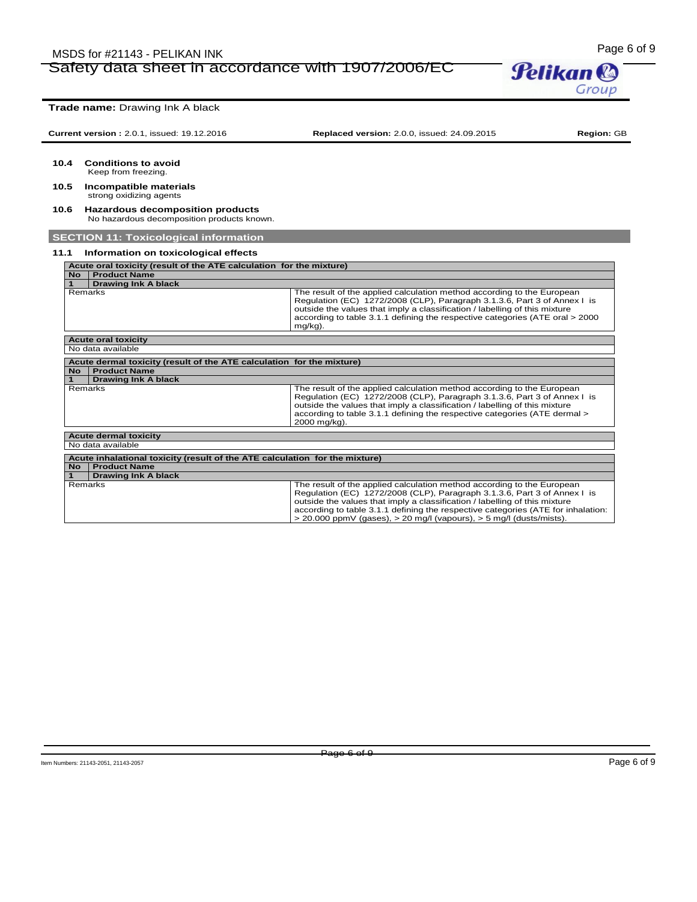# Page 6 of 9 MSDS for #21143 - PELIKAN INK Safety data sheet in accordance with 1907/2006/EC

**Pelikan®** Group

**Trade name:** Drawing Ink A black **Current version :** 2.0.1, issued: 19.12.2016 **Replaced version:** 2.0.0, issued: 24.09.2015 **Region:** GB **10.4 Conditions to avoid** Keep from freezing. **10.5 Incompatible materials** strong oxidizing agents **10.6 Hazardous decomposition products** No hazardous decomposition products known. **SECTION 11: Toxicological information 11.1 Information on toxicological effects Acute oral toxicity (result of the ATE calculation for the mixture) No Product Name 1 Drawing Ink A black** Remarks The result of the applied calculation method according to the European<br>Regulation (EC) 1272/2008 (CLP), Paragraph 3.1.3.6, Part 3 of Annex I is outside the values that imply a classification / labelling of this mixture according to table 3.1.1 defining the respective categories (ATE oral > 2000 mg/kg). **Acute oral toxicity**  No data available **Acute dermal toxicity (result of the ATE calculation for the mixture) No Product Name 1 Drawing Ink A black** The result of the applied calculation method according to the European Regulation (EC) 1272/2008 (CLP), Paragraph 3.1.3.6, Part 3 of Annex I is outside the values that imply a classification / labelling of this mixture according to table 3.1.1 defining the respective categories (ATE dermal > 2000 mg/kg). **Acute dermal toxicity**  No data available **Acute inhalational toxicity (result of the ATE calculation for the mixture) No Product Name 1 Drawing Ink A black** Remarks The result of the applied calculation method according to the European<br>Regulation (EC) 1272/2008 (CLP), Paragraph 3.1.3.6, Part 3 of Annex I is outside the values that imply a classification / labelling of this mixture according to table 3.1.1 defining the respective categories (ATE for inhalation:

> 20.000 ppmV (gases), > 20 mg/l (vapours), > 5 mg/l (dusts/mists).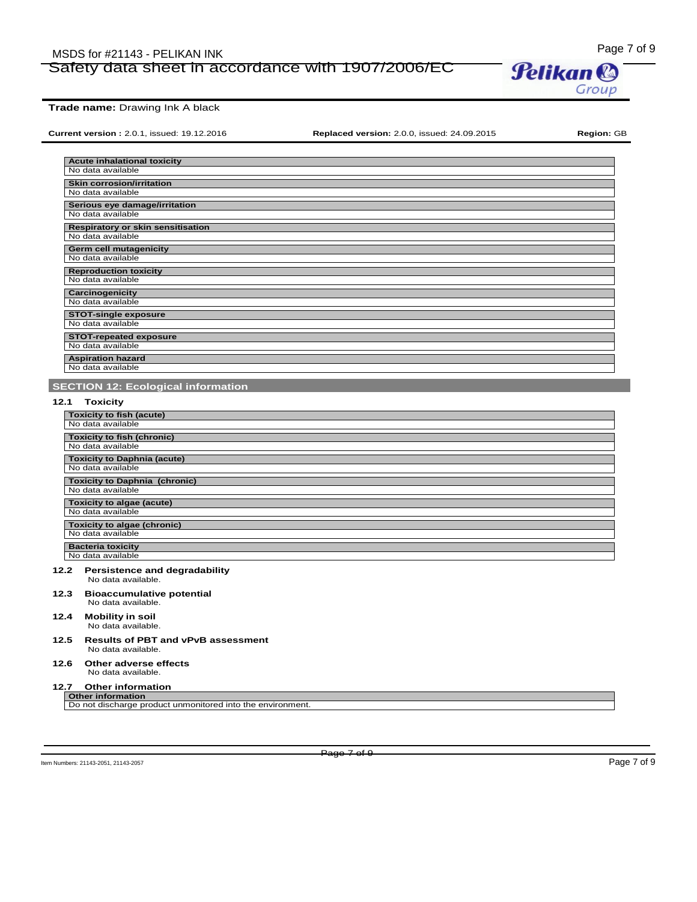# Page 7 of 9<br>Safety data sheet in accordance with 1907/2006/EC **Pelikan &** Safety data sheet in accordance with 1907/2006/EC



**Current version :** 2.0.1, issued: 19.12.2016 **Replaced version:** 2.0.0, issued: 24.09.2015 **Region:** GB

Group

| <b>Acute inhalational toxicity</b>       |
|------------------------------------------|
| No data available                        |
| <b>Skin corrosion/irritation</b>         |
| No data available                        |
| Serious eye damage/irritation            |
| No data available                        |
| <b>Respiratory or skin sensitisation</b> |
| No data available                        |
| Germ cell mutagenicity                   |
| No data available                        |
| <b>Reproduction toxicity</b>             |
| No data available                        |
| Carcinogenicity                          |
| No data available                        |
| <b>STOT-single exposure</b>              |
| No data available                        |
| <b>STOT-repeated exposure</b>            |
| No data available                        |
| <b>Aspiration hazard</b>                 |
| No data available                        |

# **SECTION 12: Ecological information**

# **12.1 Toxicity**

| <b>Toxicity to fish (acute)</b>      |
|--------------------------------------|
| No data available                    |
|                                      |
| <b>Toxicity to fish (chronic)</b>    |
| No data available                    |
|                                      |
| <b>Toxicity to Daphnia (acute)</b>   |
| No data available                    |
|                                      |
| <b>Toxicity to Daphnia (chronic)</b> |
| No data available                    |
|                                      |
| Toxicity to algae (acute)            |
| No data available                    |
|                                      |
| <b>Toxicity to algae (chronic)</b>   |
| No data available                    |
|                                      |
| <b>Bacteria toxicity</b>             |
| No data available                    |
|                                      |

#### **12.2 Persistence and degradability** No data available.

**12.3 Bioaccumulative potential**

- No data available.
- **12.4 Mobility in soil** No data available.
- **12.5 Results of PBT and vPvB assessment** No data available.

#### **12.6 Other adverse effects** No data available.

### **12.7 Other information**

**Other information** Do not discharge product unmonitored into the environment.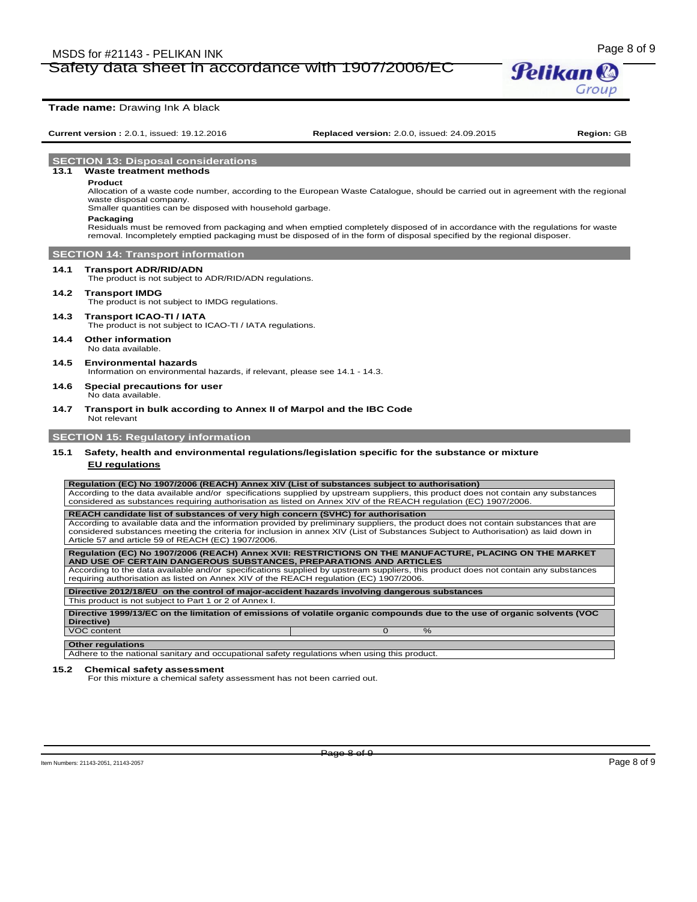# Page 8 of 9 MSDS for #21143 - PELIKAN INK Safety data sheet in accordance with 1907/2006/EC



### **Trade name:** Drawing Ink A black

**Current version :** 2.0.1, issued: 19.12.2016 **Replaced version:** 2.0.0, issued: 24.09.2015 **Region:** GB

**SECTION 13: Disposal considerations**

#### **13.1 Waste treatment methods**

#### **Product**

Allocation of a waste code number, according to the European Waste Catalogue, should be carried out in agreement with the regional waste disposal company. Smaller quantities can be disposed with household garbage.

# **Packaging**

Residuals must be removed from packaging and when emptied completely disposed of in accordance with the regulations for waste removal. Incompletely emptied packaging must be disposed of in the form of disposal specified by the regional disposer.

# **SECTION 14: Transport information**

### **14.1 Transport ADR/RID/ADN**

The product is not subject to ADR/RID/ADN regulations.

#### **14.2 Transport IMDG**

The product is not subject to IMDG regulations.

#### **14.3 Transport ICAO-TI / IATA**

The product is not subject to ICAO-TI / IATA regulations.

**14.4 Other information** No data available

# **14.5 Environmental hazards**

Information on environmental hazards, if relevant, please see 14.1 - 14.3.

#### **14.6 Special precautions for user** No data available.

#### **14.7 Transport in bulk according to Annex II of Marpol and the IBC Code** Not relevant

# **SECTION 15: Regulatory information**

# **15.1 Safety, health and environmental regulations/legislation specific for the substance or mixture**

#### **EU regulations**

**Regulation (EC) No 1907/2006 (REACH) Annex XIV (List of substances subject to authorisation)** 

According to the data available and/or specifications supplied by upstream suppliers, this product does not contain any substances considered as substances requiring authorisation as listed on Annex XIV of the REACH regulation (EC) 1907/2006.

**REACH candidate list of substances of very high concern (SVHC) for authorisation** According to available data and the information provided by preliminary suppliers, the product does not contain substances that are considered substances meeting the criteria for inclusion in annex XIV (List of Substances Subject to Authorisation) as laid down in Article 57 and article 59 of REACH (EC) 1907/2006.

**Regulation (EC) No 1907/2006 (REACH) Annex XVII: RESTRICTIONS ON THE MANUFACTURE, PLACING ON THE MARKET AND USE OF CERTAIN DANGEROUS SUBSTANCES, PREPARATIONS AND ARTICLES** According to the data available and/or specifications supplied by upstream suppliers, this product does not contain any substances

requiring authorisation as listed on Annex XIV of the REACH regulation (EC) 1907/2006.

**Directive 2012/18/EU on the control of major-accident hazards involving dangerous substances** This product is not subject to Part 1 or 2 of Annex I.

**Directive 1999/13/EC on the limitation of emissions of volatile organic compounds due to the use of organic solvents (VOC Directive)** VOC content

### Adhere to the national sanitary and occupational safety regulations when using this product

**Other regulations**

#### **15.2 Chemical safety assessment**

For this mixture a chemical safety assessment has not been carried out.